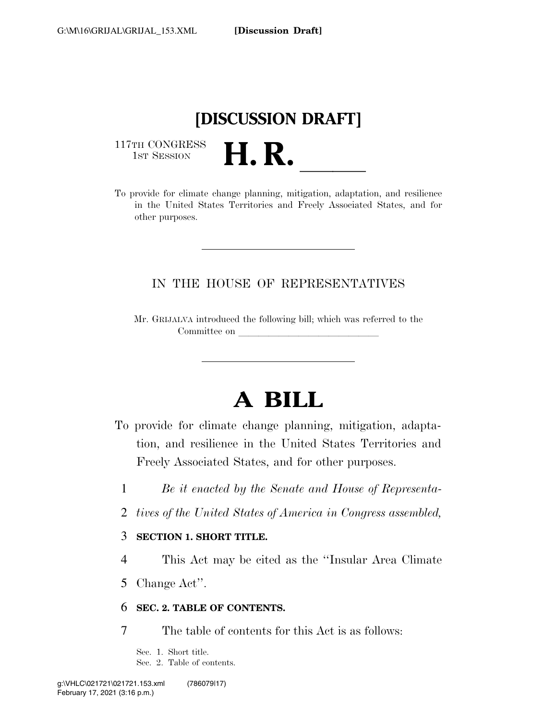# **[DISCUSSION DRAFT]**

117TH CONGRESS<br>1st Session



## IN THE HOUSE OF REPRESENTATIVES

Mr. GRIJALVA introduced the following bill; which was referred to the Committee on

# **A BILL**

- To provide for climate change planning, mitigation, adaptation, and resilience in the United States Territories and Freely Associated States, and for other purposes.
	- 1 *Be it enacted by the Senate and House of Representa-*
	- 2 *tives of the United States of America in Congress assembled,*
	- 3 **SECTION 1. SHORT TITLE.**
	- 4 This Act may be cited as the ''Insular Area Climate
	- 5 Change Act''.

#### 6 **SEC. 2. TABLE OF CONTENTS.**

7 The table of contents for this Act is as follows:

Sec. 1. Short title. Sec. 2. Table of contents.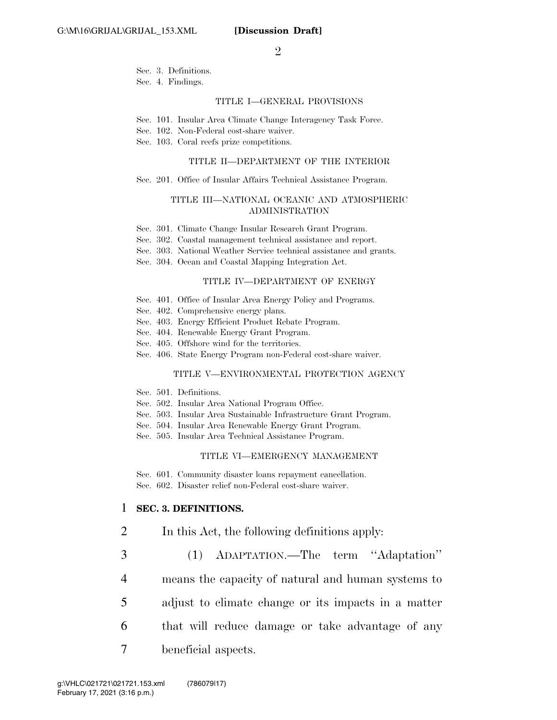Sec. 3. Definitions.

Sec. 4. Findings.

#### TITLE I—GENERAL PROVISIONS

Sec. 101. Insular Area Climate Change Interagency Task Force.

Sec. 102. Non-Federal cost-share waiver.

Sec. 103. Coral reefs prize competitions.

#### TITLE II—DEPARTMENT OF THE INTERIOR

Sec. 201. Office of Insular Affairs Technical Assistance Program.

#### TITLE III—NATIONAL OCEANIC AND ATMOSPHERIC ADMINISTRATION

- Sec. 301. Climate Change Insular Research Grant Program.
- Sec. 302. Coastal management technical assistance and report.
- Sec. 303. National Weather Service technical assistance and grants.
- Sec. 304. Ocean and Coastal Mapping Integration Act.

#### TITLE IV—DEPARTMENT OF ENERGY

- Sec. 401. Office of Insular Area Energy Policy and Programs.
- Sec. 402. Comprehensive energy plans.
- Sec. 403. Energy Efficient Product Rebate Program.
- Sec. 404. Renewable Energy Grant Program.
- Sec. 405. Offshore wind for the territories.
- Sec. 406. State Energy Program non-Federal cost-share waiver.

#### TITLE V—ENVIRONMENTAL PROTECTION AGENCY

- Sec. 501. Definitions.
- Sec. 502. Insular Area National Program Office.
- Sec. 503. Insular Area Sustainable Infrastructure Grant Program.
- Sec. 504. Insular Area Renewable Energy Grant Program.
- Sec. 505. Insular Area Technical Assistance Program.

#### TITLE VI—EMERGENCY MANAGEMENT

Sec. 601. Community disaster loans repayment cancellation. Sec. 602. Disaster relief non-Federal cost-share waiver.

#### 1 **SEC. 3. DEFINITIONS.**

- 2 In this Act, the following definitions apply:
- 3 (1) ADAPTATION.—The term ''Adaptation''
- 4 means the capacity of natural and human systems to
- 5 adjust to climate change or its impacts in a matter
- 
- 6 that will reduce damage or take advantage of any
- 7 beneficial aspects.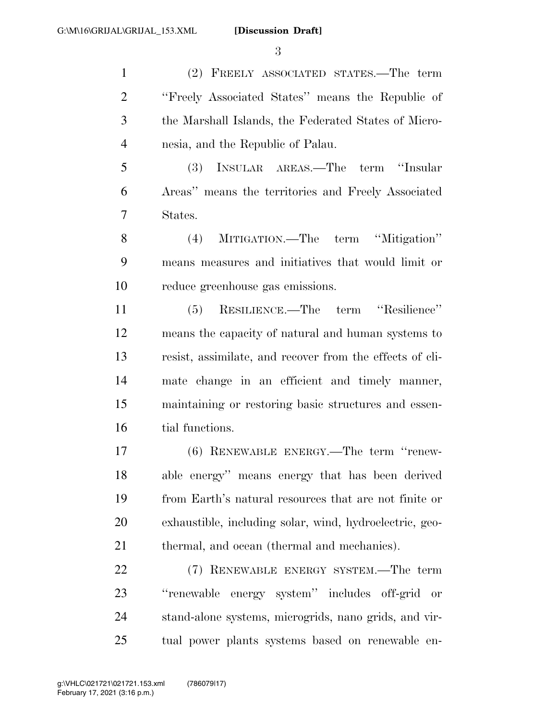(2) FREELY ASSOCIATED STATES.—The term ''Freely Associated States'' means the Republic of the Marshall Islands, the Federated States of Micro-nesia, and the Republic of Palau.

 (3) INSULAR AREAS.—The term ''Insular Areas'' means the territories and Freely Associated States.

 (4) MITIGATION.—The term ''Mitigation'' means measures and initiatives that would limit or reduce greenhouse gas emissions.

 (5) RESILIENCE.—The term ''Resilience'' means the capacity of natural and human systems to resist, assimilate, and recover from the effects of cli- mate change in an efficient and timely manner, maintaining or restoring basic structures and essen-16 tial functions.

 (6) RENEWABLE ENERGY.—The term ''renew- able energy'' means energy that has been derived from Earth's natural resources that are not finite or exhaustible, including solar, wind, hydroelectric, geo-thermal, and ocean (thermal and mechanics).

 (7) RENEWABLE ENERGY SYSTEM.—The term ''renewable energy system'' includes off-grid or stand-alone systems, microgrids, nano grids, and vir-tual power plants systems based on renewable en-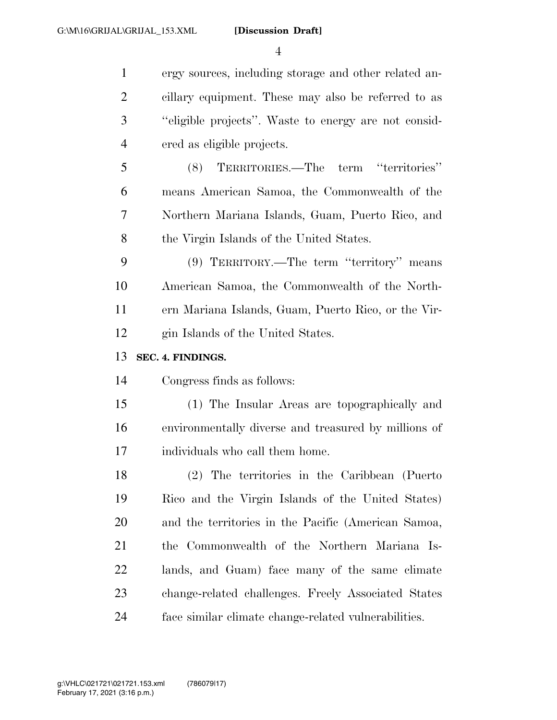ergy sources, including storage and other related an- cillary equipment. These may also be referred to as ''eligible projects''. Waste to energy are not consid- ered as eligible projects. (8) TERRITORIES.—The term ''territories'' means American Samoa, the Commonwealth of the Northern Mariana Islands, Guam, Puerto Rico, and the Virgin Islands of the United States. (9) TERRITORY.—The term ''territory'' means American Samoa, the Commonwealth of the North- ern Mariana Islands, Guam, Puerto Rico, or the Vir- gin Islands of the United States. **SEC. 4. FINDINGS.**  Congress finds as follows: (1) The Insular Areas are topographically and environmentally diverse and treasured by millions of individuals who call them home. (2) The territories in the Caribbean (Puerto Rico and the Virgin Islands of the United States) and the territories in the Pacific (American Samoa, the Commonwealth of the Northern Mariana Is-

 lands, and Guam) face many of the same climate change-related challenges. Freely Associated States face similar climate change-related vulnerabilities.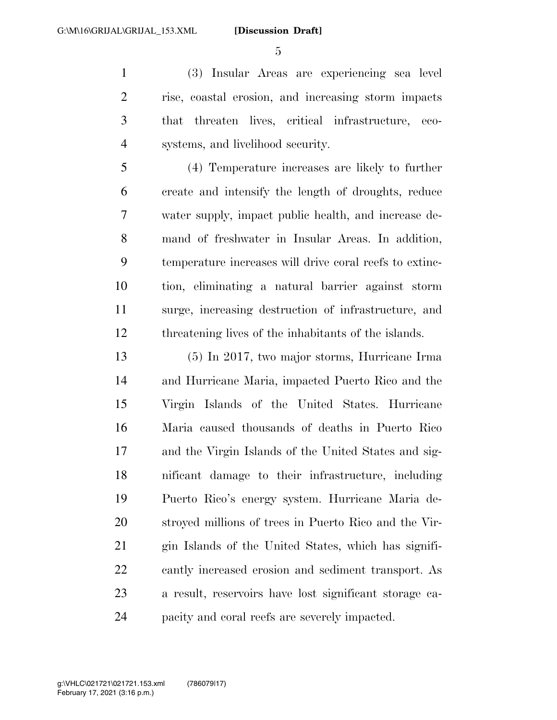(3) Insular Areas are experiencing sea level rise, coastal erosion, and increasing storm impacts that threaten lives, critical infrastructure, eco-systems, and livelihood security.

 (4) Temperature increases are likely to further create and intensify the length of droughts, reduce water supply, impact public health, and increase de- mand of freshwater in Insular Areas. In addition, temperature increases will drive coral reefs to extinc- tion, eliminating a natural barrier against storm surge, increasing destruction of infrastructure, and threatening lives of the inhabitants of the islands.

 (5) In 2017, two major storms, Hurricane Irma and Hurricane Maria, impacted Puerto Rico and the Virgin Islands of the United States. Hurricane Maria caused thousands of deaths in Puerto Rico and the Virgin Islands of the United States and sig- nificant damage to their infrastructure, including Puerto Rico's energy system. Hurricane Maria de- stroyed millions of trees in Puerto Rico and the Vir- gin Islands of the United States, which has signifi- cantly increased erosion and sediment transport. As a result, reservoirs have lost significant storage ca-pacity and coral reefs are severely impacted.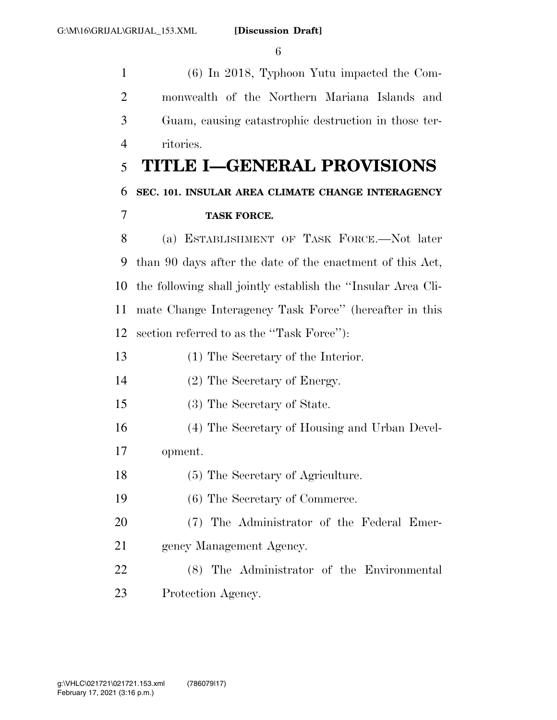(6) In 2018, Typhoon Yutu impacted the Com- monwealth of the Northern Mariana Islands and Guam, causing catastrophic destruction in those ter- ritories. **TITLE I—GENERAL PROVISIONS SEC. 101. INSULAR AREA CLIMATE CHANGE INTERAGENCY TASK FORCE.**  (a) ESTABLISHMENT OF TASK FORCE.—Not later than 90 days after the date of the enactment of this Act, the following shall jointly establish the ''Insular Area Cli- mate Change Interagency Task Force'' (hereafter in this section referred to as the ''Task Force''): (1) The Secretary of the Interior. (2) The Secretary of Energy. (3) The Secretary of State. (4) The Secretary of Housing and Urban Devel- opment. (5) The Secretary of Agriculture. (6) The Secretary of Commerce. (7) The Administrator of the Federal Emer- gency Management Agency. (8) The Administrator of the Environmental Protection Agency.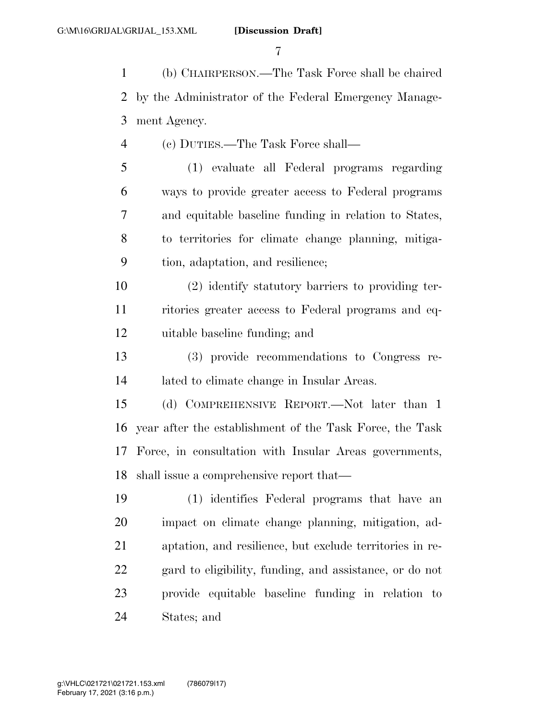(b) CHAIRPERSON.—The Task Force shall be chaired by the Administrator of the Federal Emergency Manage-ment Agency.

(c) DUTIES.—The Task Force shall—

 (1) evaluate all Federal programs regarding ways to provide greater access to Federal programs and equitable baseline funding in relation to States, to territories for climate change planning, mitiga-tion, adaptation, and resilience;

 (2) identify statutory barriers to providing ter- ritories greater access to Federal programs and eq-uitable baseline funding; and

 (3) provide recommendations to Congress re-lated to climate change in Insular Areas.

 (d) COMPREHENSIVE REPORT.—Not later than 1 year after the establishment of the Task Force, the Task Force, in consultation with Insular Areas governments, shall issue a comprehensive report that—

 (1) identifies Federal programs that have an impact on climate change planning, mitigation, ad- aptation, and resilience, but exclude territories in re- gard to eligibility, funding, and assistance, or do not provide equitable baseline funding in relation to States; and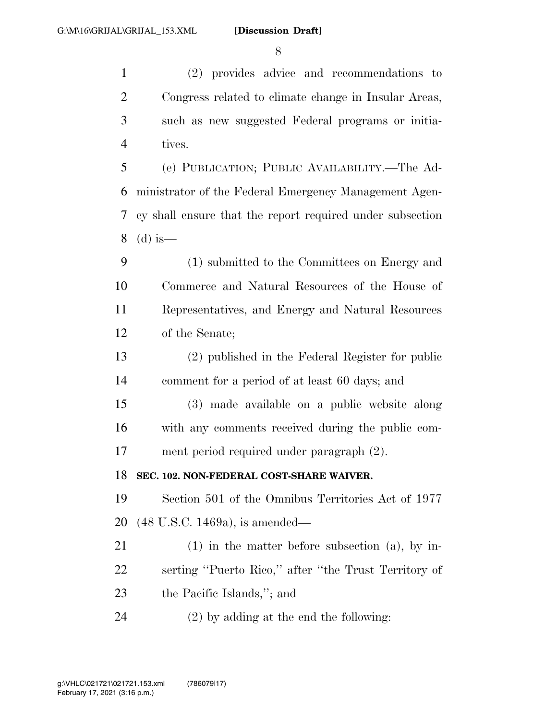(2) provides advice and recommendations to Congress related to climate change in Insular Areas, such as new suggested Federal programs or initia-tives.

 (e) PUBLICATION; PUBLIC AVAILABILITY.—The Ad- ministrator of the Federal Emergency Management Agen- cy shall ensure that the report required under subsection (d) is—

 (1) submitted to the Committees on Energy and Commerce and Natural Resources of the House of Representatives, and Energy and Natural Resources of the Senate;

 (2) published in the Federal Register for public comment for a period of at least 60 days; and

 (3) made available on a public website along with any comments received during the public com-ment period required under paragraph (2).

**SEC. 102. NON-FEDERAL COST-SHARE WAIVER.** 

 Section 501 of the Omnibus Territories Act of 1977 (48 U.S.C. 1469a), is amended—

 (1) in the matter before subsection (a), by in- serting ''Puerto Rico,'' after ''the Trust Territory of the Pacific Islands,''; and

(2) by adding at the end the following: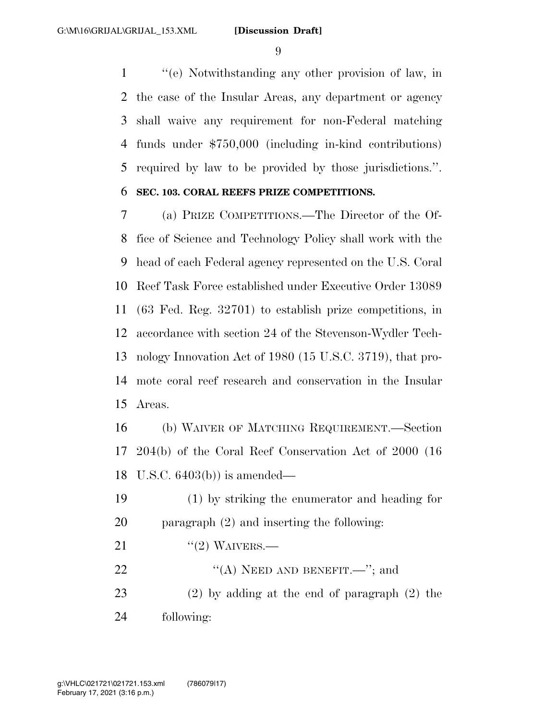''(e) Notwithstanding any other provision of law, in the case of the Insular Areas, any department or agency shall waive any requirement for non-Federal matching funds under \$750,000 (including in-kind contributions) required by law to be provided by those jurisdictions.''.

### **SEC. 103. CORAL REEFS PRIZE COMPETITIONS.**

 (a) PRIZE COMPETITIONS.—The Director of the Of- fice of Science and Technology Policy shall work with the head of each Federal agency represented on the U.S. Coral Reef Task Force established under Executive Order 13089 (63 Fed. Reg. 32701) to establish prize competitions, in accordance with section 24 of the Stevenson-Wydler Tech- nology Innovation Act of 1980 (15 U.S.C. 3719), that pro- mote coral reef research and conservation in the Insular Areas.

 (b) WAIVER OF MATCHING REQUIREMENT.—Section 204(b) of the Coral Reef Conservation Act of 2000 (16 U.S.C. 6403(b)) is amended—

 (1) by striking the enumerator and heading for paragraph (2) and inserting the following:

21  $\frac{((2) \text{ WAVERS}}{)}$ 

22 ""(A) NEED AND BENEFIT.—"; and

 (2) by adding at the end of paragraph (2) the following: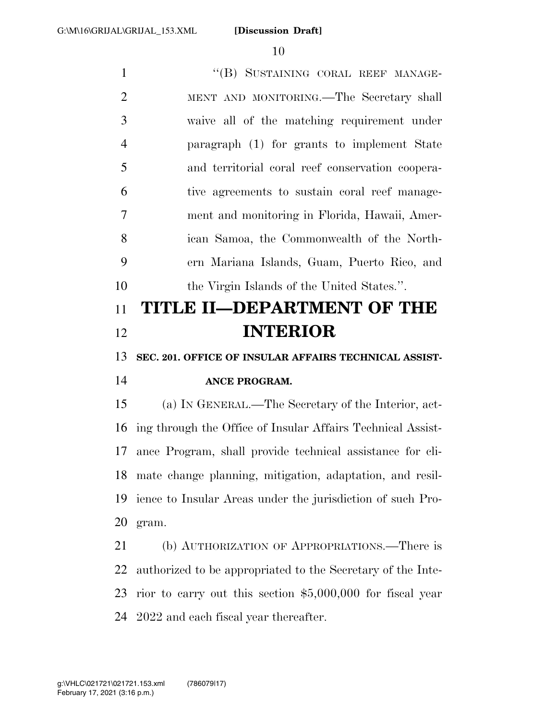1 "(B) SUSTAINING CORAL REEF MANAGE- MENT AND MONITORING.—The Secretary shall waive all of the matching requirement under paragraph (1) for grants to implement State and territorial coral reef conservation coopera- tive agreements to sustain coral reef manage- ment and monitoring in Florida, Hawaii, Amer- ican Samoa, the Commonwealth of the North- ern Mariana Islands, Guam, Puerto Rico, and the Virgin Islands of the United States.''. **TITLE II—DEPARTMENT OF THE INTERIOR SEC. 201. OFFICE OF INSULAR AFFAIRS TECHNICAL ASSIST- ANCE PROGRAM.**  (a) IN GENERAL.—The Secretary of the Interior, act- ing through the Office of Insular Affairs Technical Assist- ance Program, shall provide technical assistance for cli- mate change planning, mitigation, adaptation, and resil- ience to Insular Areas under the jurisdiction of such Pro- gram. (b) AUTHORIZATION OF APPROPRIATIONS.—There is authorized to be appropriated to the Secretary of the Inte- rior to carry out this section \$5,000,000 for fiscal year 2022 and each fiscal year thereafter.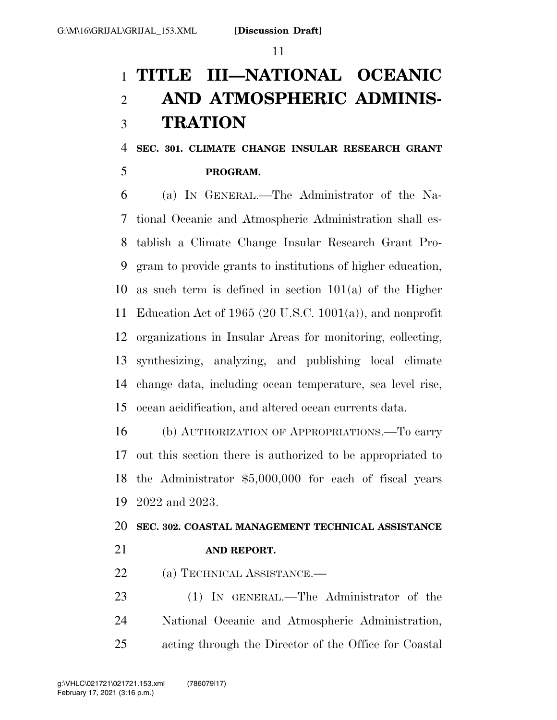# **TITLE III—NATIONAL OCEANIC AND ATMOSPHERIC ADMINIS-TRATION**

## **SEC. 301. CLIMATE CHANGE INSULAR RESEARCH GRANT**

### **PROGRAM.**

 (a) IN GENERAL.—The Administrator of the Na- tional Oceanic and Atmospheric Administration shall es- tablish a Climate Change Insular Research Grant Pro- gram to provide grants to institutions of higher education, as such term is defined in section 101(a) of the Higher Education Act of 1965 (20 U.S.C. 1001(a)), and nonprofit organizations in Insular Areas for monitoring, collecting, synthesizing, analyzing, and publishing local climate change data, including ocean temperature, sea level rise, ocean acidification, and altered ocean currents data.

 (b) AUTHORIZATION OF APPROPRIATIONS.—To carry out this section there is authorized to be appropriated to the Administrator \$5,000,000 for each of fiscal years 2022 and 2023.

# **SEC. 302. COASTAL MANAGEMENT TECHNICAL ASSISTANCE AND REPORT.**

(a) TECHNICAL ASSISTANCE.—

 (1) IN GENERAL.—The Administrator of the National Oceanic and Atmospheric Administration, acting through the Director of the Office for Coastal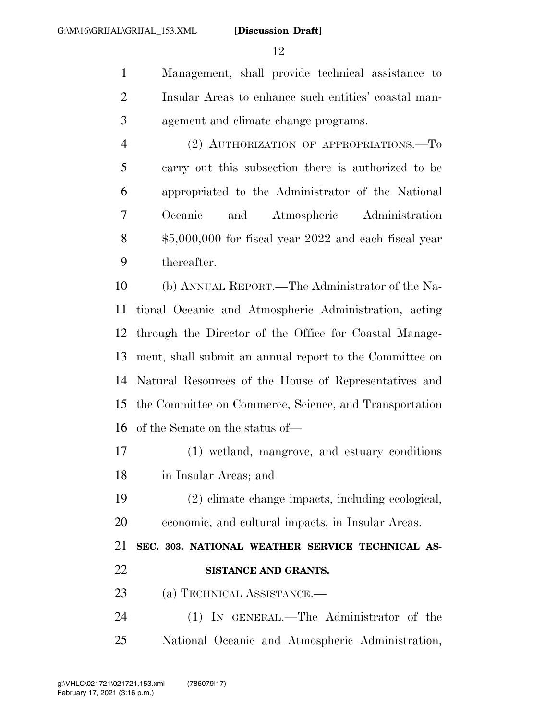Management, shall provide technical assistance to Insular Areas to enhance such entities' coastal man-agement and climate change programs.

 (2) AUTHORIZATION OF APPROPRIATIONS.—To carry out this subsection there is authorized to be appropriated to the Administrator of the National Oceanic and Atmospheric Administration \$5,000,000 for fiscal year 2022 and each fiscal year thereafter.

 (b) ANNUAL REPORT.—The Administrator of the Na- tional Oceanic and Atmospheric Administration, acting through the Director of the Office for Coastal Manage- ment, shall submit an annual report to the Committee on Natural Resources of the House of Representatives and the Committee on Commerce, Science, and Transportation of the Senate on the status of—

- (1) wetland, mangrove, and estuary conditions in Insular Areas; and
- (2) climate change impacts, including ecological, economic, and cultural impacts, in Insular Areas.

 **SEC. 303. NATIONAL WEATHER SERVICE TECHNICAL AS-SISTANCE AND GRANTS.** 

- (a) TECHNICAL ASSISTANCE.—
- (1) IN GENERAL.—The Administrator of the National Oceanic and Atmospheric Administration,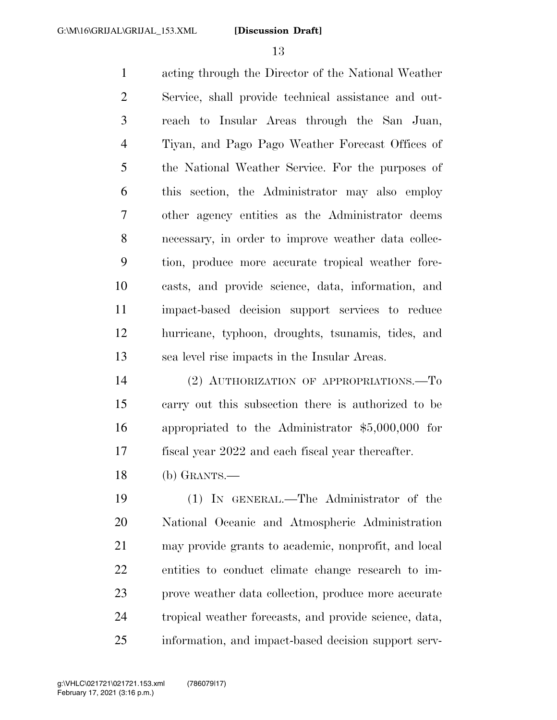acting through the Director of the National Weather Service, shall provide technical assistance and out- reach to Insular Areas through the San Juan, Tiyan, and Pago Pago Weather Forecast Offices of the National Weather Service. For the purposes of this section, the Administrator may also employ other agency entities as the Administrator deems necessary, in order to improve weather data collec- tion, produce more accurate tropical weather fore- casts, and provide science, data, information, and impact-based decision support services to reduce hurricane, typhoon, droughts, tsunamis, tides, and sea level rise impacts in the Insular Areas.

 (2) AUTHORIZATION OF APPROPRIATIONS.—To carry out this subsection there is authorized to be appropriated to the Administrator \$5,000,000 for fiscal year 2022 and each fiscal year thereafter.

(b) GRANTS.—

 (1) IN GENERAL.—The Administrator of the National Oceanic and Atmospheric Administration may provide grants to academic, nonprofit, and local entities to conduct climate change research to im- prove weather data collection, produce more accurate tropical weather forecasts, and provide science, data, information, and impact-based decision support serv-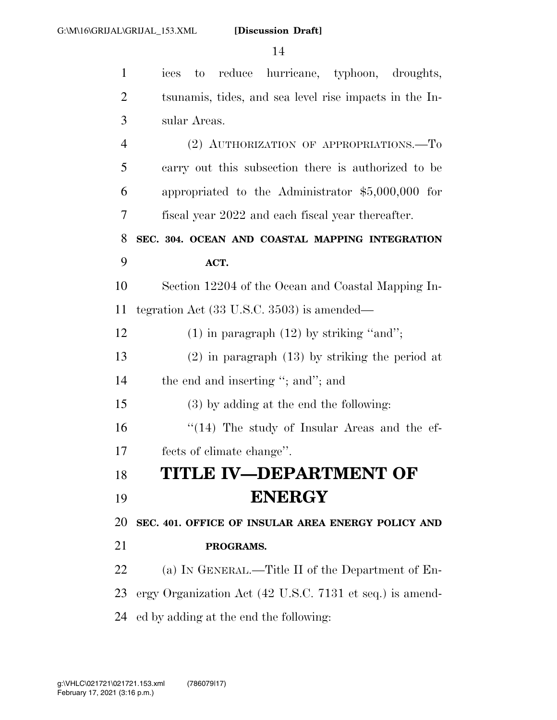| $\mathbf{1}$   | ices to reduce hurricane, typhoon, droughts,             |
|----------------|----------------------------------------------------------|
| $\overline{2}$ | tsunamis, tides, and sea level rise impacts in the In-   |
| 3              | sular Areas.                                             |
| $\overline{4}$ | (2) AUTHORIZATION OF APPROPRIATIONS.—To                  |
| 5              | carry out this subsection there is authorized to be      |
| 6              | appropriated to the Administrator $$5,000,000$ for       |
| 7              | fiscal year 2022 and each fiscal year thereafter.        |
| 8              | SEC. 304. OCEAN AND COASTAL MAPPING INTEGRATION          |
| 9              | ACT.                                                     |
| 10             | Section 12204 of the Ocean and Coastal Mapping In-       |
| 11             | tegration Act $(33 \text{ U.S.C. } 3503)$ is amended—    |
| 12             | $(1)$ in paragraph $(12)$ by striking "and";             |
| 13             | $(2)$ in paragraph $(13)$ by striking the period at      |
| 14             | the end and inserting "; and"; and                       |
| 15             | (3) by adding at the end the following:                  |
| 16             | $\lq(14)$ The study of Insular Areas and the ef-         |
| 17             | fects of climate change".                                |
| 18             | <b>TITLE IV-DEPARTMENT OF</b>                            |
| 19             | <b>ENERGY</b>                                            |
| 20             | SEC. 401. OFFICE OF INSULAR AREA ENERGY POLICY AND       |
| 21             | PROGRAMS.                                                |
| 22             | (a) IN GENERAL.—Title II of the Department of En-        |
| 23             | ergy Organization Act (42 U.S.C. 7131 et seq.) is amend- |
| 24             | ed by adding at the end the following:                   |
|                |                                                          |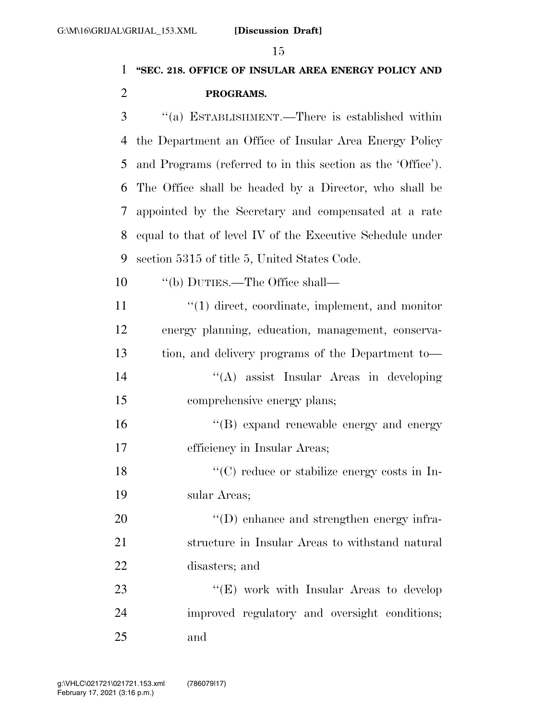## **''SEC. 218. OFFICE OF INSULAR AREA ENERGY POLICY AND PROGRAMS.**

 ''(a) ESTABLISHMENT.—There is established within the Department an Office of Insular Area Energy Policy and Programs (referred to in this section as the 'Office'). The Office shall be headed by a Director, who shall be appointed by the Secretary and compensated at a rate equal to that of level IV of the Executive Schedule under section 5315 of title 5, United States Code.

10  $\qquad$  "(b) DUTIES.—The Office shall—

11 ''(1) direct, coordinate, implement, and monitor energy planning, education, management, conserva- tion, and delivery programs of the Department to— ''(A) assist Insular Areas in developing comprehensive energy plans;  $\langle G \rangle$  expand renewable energy and energy efficiency in Insular Areas; ''(C) reduce or stabilize energy costs in In- sular Areas;  $\text{``(D) enhance and strengthen energy infra-}$  structure in Insular Areas to withstand natural disasters; and 23 "'(E) work with Insular Areas to develop improved regulatory and oversight conditions;

and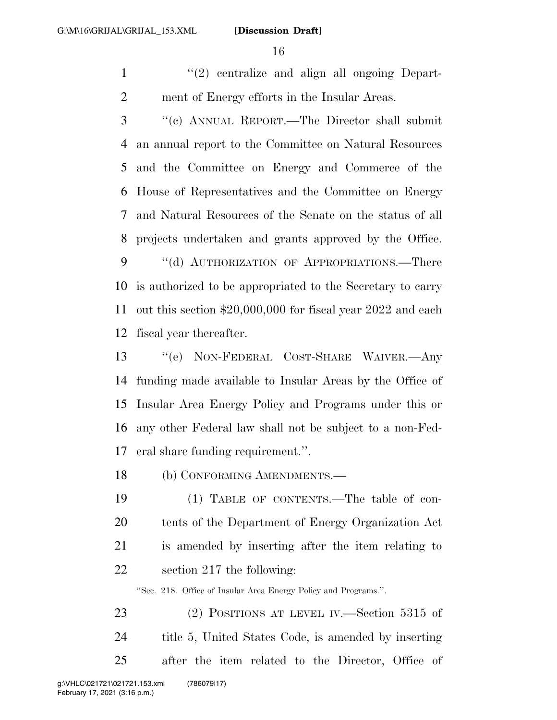1 ''(2) centralize and align all ongoing Depart-ment of Energy efforts in the Insular Areas.

 ''(c) ANNUAL REPORT.—The Director shall submit an annual report to the Committee on Natural Resources and the Committee on Energy and Commerce of the House of Representatives and the Committee on Energy and Natural Resources of the Senate on the status of all projects undertaken and grants approved by the Office. 9 "(d) AUTHORIZATION OF APPROPRIATIONS.—There is authorized to be appropriated to the Secretary to carry out this section \$20,000,000 for fiscal year 2022 and each fiscal year thereafter.

 ''(e) NON-FEDERAL COST-SHARE WAIVER.—Any funding made available to Insular Areas by the Office of Insular Area Energy Policy and Programs under this or any other Federal law shall not be subject to a non-Fed-eral share funding requirement.''.

(b) CONFORMING AMENDMENTS.—

 (1) TABLE OF CONTENTS.—The table of con- tents of the Department of Energy Organization Act is amended by inserting after the item relating to section 217 the following:

''Sec. 218. Office of Insular Area Energy Policy and Programs.''.

23 (2) POSITIONS AT LEVEL IV.—Section 5315 of title 5, United States Code, is amended by inserting after the item related to the Director, Office of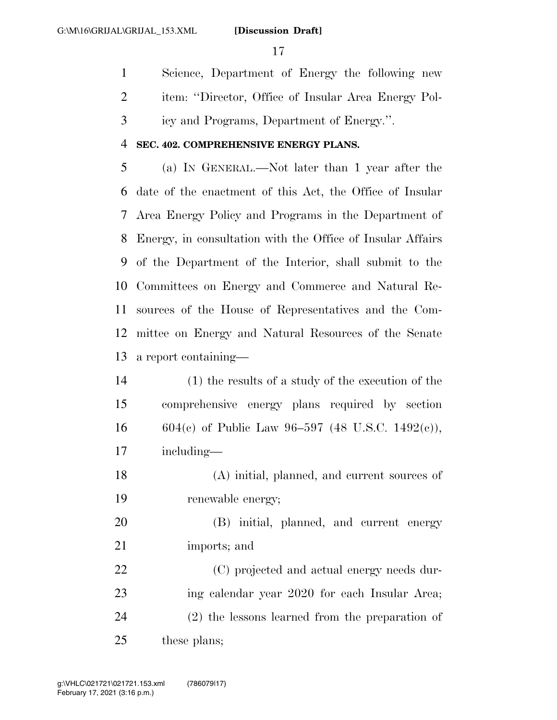Science, Department of Energy the following new item: ''Director, Office of Insular Area Energy Pol-icy and Programs, Department of Energy.''.

#### **SEC. 402. COMPREHENSIVE ENERGY PLANS.**

 (a) IN GENERAL.—Not later than 1 year after the date of the enactment of this Act, the Office of Insular Area Energy Policy and Programs in the Department of Energy, in consultation with the Office of Insular Affairs of the Department of the Interior, shall submit to the Committees on Energy and Commerce and Natural Re- sources of the House of Representatives and the Com- mittee on Energy and Natural Resources of the Senate a report containing—

 (1) the results of a study of the execution of the comprehensive energy plans required by section 16 604(c) of Public Law 96-597 (48 U.S.C. 1492(c)), including—

 (A) initial, planned, and current sources of renewable energy;

 (B) initial, planned, and current energy imports; and

 (C) projected and actual energy needs dur- ing calendar year 2020 for each Insular Area; (2) the lessons learned from the preparation of these plans;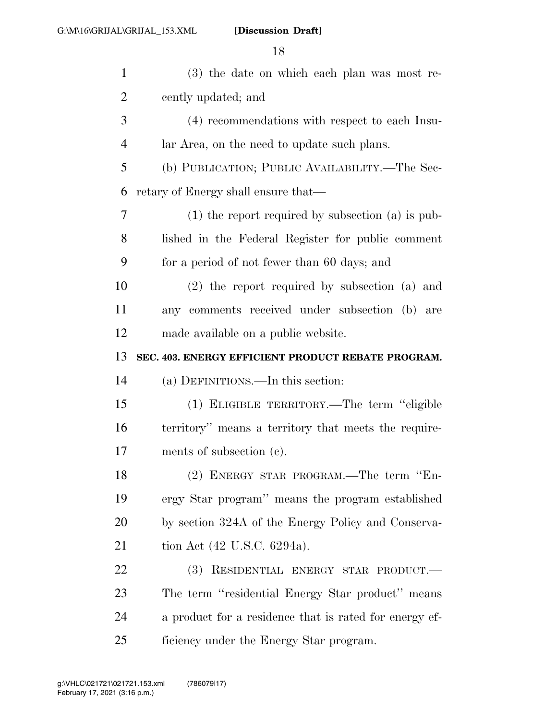| $\mathbf{1}$ | (3) the date on which each plan was most re-           |
|--------------|--------------------------------------------------------|
| 2            | cently updated; and                                    |
| 3            | (4) recommendations with respect to each Insu-         |
| 4            | lar Area, on the need to update such plans.            |
| 5            | (b) PUBLICATION; PUBLIC AVAILABILITY.—The Sec-         |
| 6            | retary of Energy shall ensure that—                    |
| 7            | $(1)$ the report required by subsection $(a)$ is pub-  |
| 8            | lished in the Federal Register for public comment      |
| 9            | for a period of not fewer than 60 days; and            |
| 10           | $(2)$ the report required by subsection $(a)$ and      |
| 11           | any comments received under subsection (b) are         |
| 12           | made available on a public website.                    |
|              |                                                        |
| 13           | SEC. 403. ENERGY EFFICIENT PRODUCT REBATE PROGRAM.     |
| 14           | (a) DEFINITIONS.—In this section:                      |
| 15           | (1) ELIGIBLE TERRITORY.—The term "eligible             |
| 16           | territory" means a territory that meets the require-   |
| 17           | ments of subsection (c).                               |
| 18           | (2) ENERGY STAR PROGRAM.—The term "En-                 |
| 19           | ergy Star program" means the program established       |
| 20           | by section 324A of the Energy Policy and Conserva-     |
| 21           | tion Act (42 U.S.C. 6294a).                            |
| 22           | (3) RESIDENTIAL ENERGY STAR PRODUCT.                   |
| 23           | The term "residential Energy Star product" means       |
| 24           | a product for a residence that is rated for energy ef- |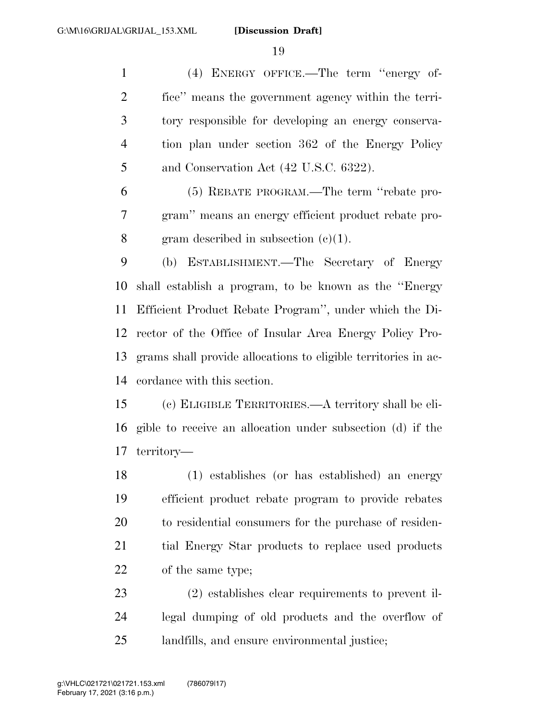(4) ENERGY OFFICE.—The term ''energy of- fice'' means the government agency within the terri- tory responsible for developing an energy conserva- tion plan under section 362 of the Energy Policy 5 and Conservation Act (42 U.S.C. 6322).

 (5) REBATE PROGRAM.—The term ''rebate pro- gram'' means an energy efficient product rebate pro-gram described in subsection (c)(1).

 (b) ESTABLISHMENT.—The Secretary of Energy shall establish a program, to be known as the ''Energy Efficient Product Rebate Program'', under which the Di- rector of the Office of Insular Area Energy Policy Pro- grams shall provide allocations to eligible territories in ac-cordance with this section.

 (c) ELIGIBLE TERRITORIES.—A territory shall be eli- gible to receive an allocation under subsection (d) if the territory—

 (1) establishes (or has established) an energy efficient product rebate program to provide rebates to residential consumers for the purchase of residen- tial Energy Star products to replace used products of the same type;

 (2) establishes clear requirements to prevent il- legal dumping of old products and the overflow of landfills, and ensure environmental justice;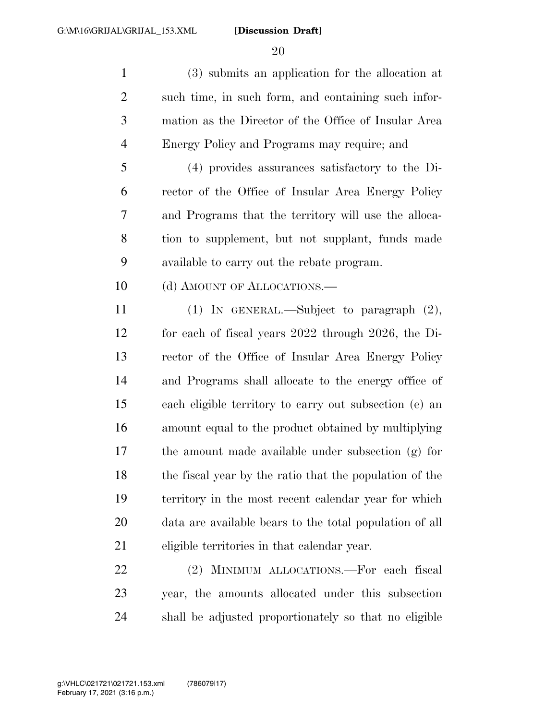(3) submits an application for the allocation at such time, in such form, and containing such infor- mation as the Director of the Office of Insular Area Energy Policy and Programs may require; and

 (4) provides assurances satisfactory to the Di- rector of the Office of Insular Area Energy Policy and Programs that the territory will use the alloca- tion to supplement, but not supplant, funds made available to carry out the rebate program.

10 (d) AMOUNT OF ALLOCATIONS.—

 (1) IN GENERAL.—Subject to paragraph (2), for each of fiscal years 2022 through 2026, the Di- rector of the Office of Insular Area Energy Policy and Programs shall allocate to the energy office of each eligible territory to carry out subsection (e) an amount equal to the product obtained by multiplying the amount made available under subsection (g) for the fiscal year by the ratio that the population of the territory in the most recent calendar year for which data are available bears to the total population of all eligible territories in that calendar year.

 (2) MINIMUM ALLOCATIONS.—For each fiscal year, the amounts allocated under this subsection shall be adjusted proportionately so that no eligible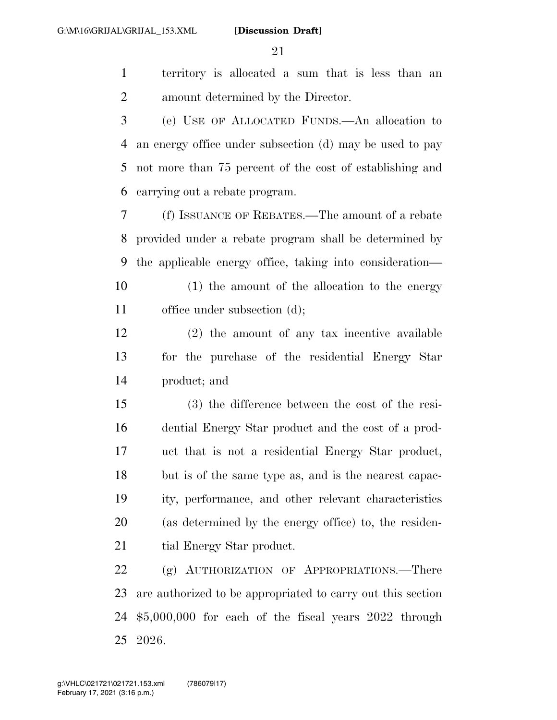territory is allocated a sum that is less than an amount determined by the Director.

 (e) USE OF ALLOCATED FUNDS.—An allocation to an energy office under subsection (d) may be used to pay not more than 75 percent of the cost of establishing and carrying out a rebate program.

 (f) ISSUANCE OF REBATES.—The amount of a rebate provided under a rebate program shall be determined by the applicable energy office, taking into consideration—

 (1) the amount of the allocation to the energy office under subsection (d);

 (2) the amount of any tax incentive available for the purchase of the residential Energy Star product; and

 (3) the difference between the cost of the resi- dential Energy Star product and the cost of a prod- uct that is not a residential Energy Star product, but is of the same type as, and is the nearest capac- ity, performance, and other relevant characteristics (as determined by the energy office) to, the residen-21 tial Energy Star product.

22 (g) AUTHORIZATION OF APPROPRIATIONS.—There are authorized to be appropriated to carry out this section \$5,000,000 for each of the fiscal years 2022 through 2026.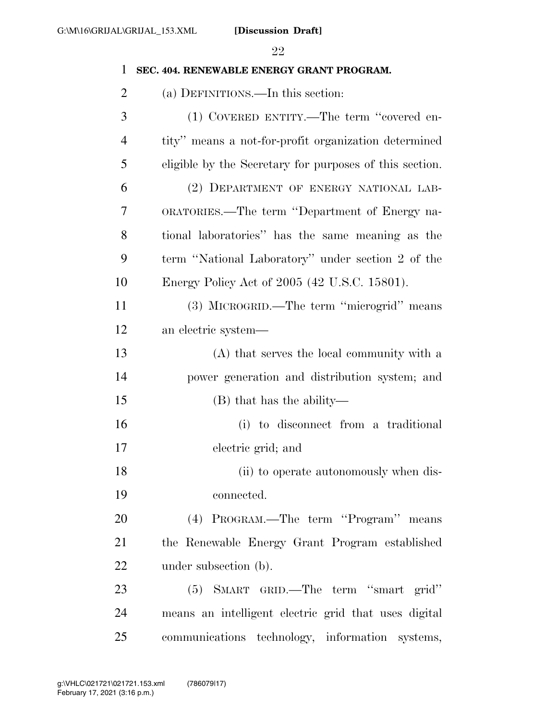# **SEC. 404. RENEWABLE ENERGY GRANT PROGRAM.**  (a) DEFINITIONS.—In this section: (1) COVERED ENTITY.—The term ''covered en- tity'' means a not-for-profit organization determined eligible by the Secretary for purposes of this section. (2) DEPARTMENT OF ENERGY NATIONAL LAB- ORATORIES.—The term ''Department of Energy na- tional laboratories'' has the same meaning as the term ''National Laboratory'' under section 2 of the Energy Policy Act of 2005 (42 U.S.C. 15801). (3) MICROGRID.—The term ''microgrid'' means an electric system— (A) that serves the local community with a power generation and distribution system; and (B) that has the ability— (i) to disconnect from a traditional electric grid; and 18 (ii) to operate autonomously when dis- connected. (4) PROGRAM.—The term ''Program'' means the Renewable Energy Grant Program established 22 under subsection (b). (5) SMART GRID.—The term ''smart grid'' means an intelligent electric grid that uses digital

communications technology, information systems,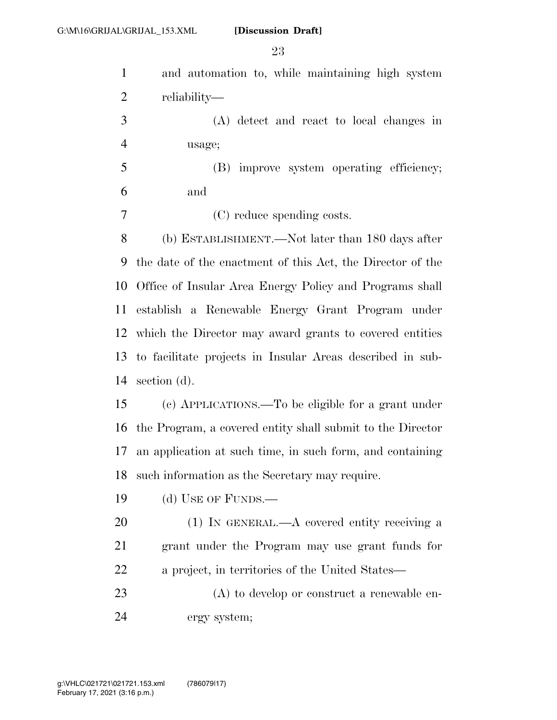| $\mathbf{1}$   | and automation to, while maintaining high system           |
|----------------|------------------------------------------------------------|
| $\overline{2}$ | reliability—                                               |
| 3              | (A) detect and react to local changes in                   |
| $\overline{4}$ | usage;                                                     |
| 5              | (B) improve system operating efficiency;                   |
| 6              | and                                                        |
| 7              | (C) reduce spending costs.                                 |
| 8              | (b) ESTABLISHMENT.—Not later than 180 days after           |
| 9              | the date of the enactment of this Act, the Director of the |
| 10             | Office of Insular Area Energy Policy and Programs shall    |
| 11             | establish a Renewable Energy Grant Program under           |
|                | 12 which the Director may award grants to covered entities |
| 13             | to facilitate projects in Insular Areas described in sub-  |
| 14             | section $(d)$ .                                            |
| 15             | (c) APPLICATIONS.—To be eligible for a grant under         |
| 16             | the Program, a covered entity shall submit to the Director |
| 17             | an application at such time, in such form, and containing  |
| 18             | such information as the Secretary may require.             |
| 19             | (d) USE OF FUNDS.—                                         |
| 20             | $(1)$ In GENERAL.—A covered entity receiving a             |
| 21             | grant under the Program may use grant funds for            |
| 22             | a project, in territories of the United States—            |
| 23             | $(A)$ to develop or construct a renewable en-              |
| 24             | ergy system;                                               |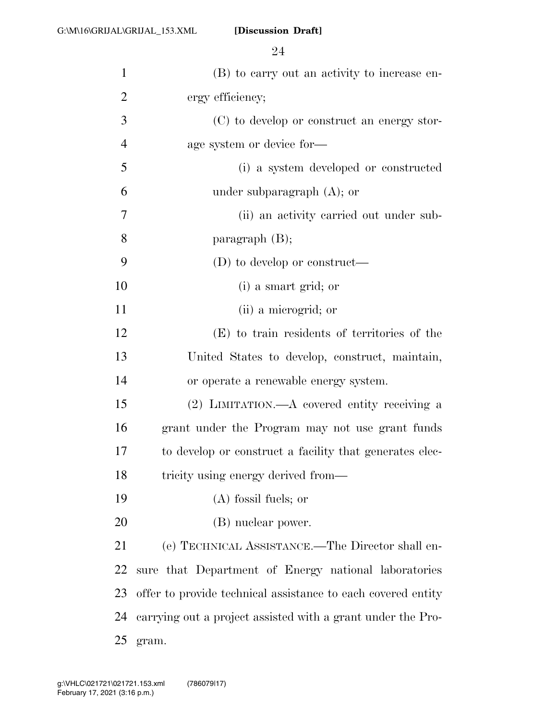| $\mathbf{1}$   | (B) to carry out an activity to increase en-                 |
|----------------|--------------------------------------------------------------|
| $\overline{2}$ | ergy efficiency;                                             |
| 3              | (C) to develop or construct an energy stor-                  |
| $\overline{4}$ | age system or device for-                                    |
| 5              | (i) a system developed or constructed                        |
| 6              | under subparagraph $(A)$ ; or                                |
| 7              | (ii) an activity carried out under sub-                      |
| 8              | paragraph $(B)$ ;                                            |
| 9              | $(D)$ to develop or construct—                               |
| 10             | (i) a smart grid; or                                         |
| 11             | (ii) a microgrid; or                                         |
| 12             | (E) to train residents of territories of the                 |
| 13             | United States to develop, construct, maintain,               |
| 14             | or operate a renewable energy system.                        |
| 15             | $(2)$ LIMITATION.—A covered entity receiving a               |
| 16             | grant under the Program may not use grant funds              |
| 17             | to develop or construct a facility that generates elec-      |
| 18             | tricity using energy derived from—                           |
| 19             | $(A)$ fossil fuels; or                                       |
| 20             | (B) nuclear power.                                           |
| 21             | (e) TECHNICAL ASSISTANCE.—The Director shall en-             |
| 22             | sure that Department of Energy national laboratories         |
| 23             | offer to provide technical assistance to each covered entity |
| 24             | carrying out a project assisted with a grant under the Pro-  |
| 25             | gram.                                                        |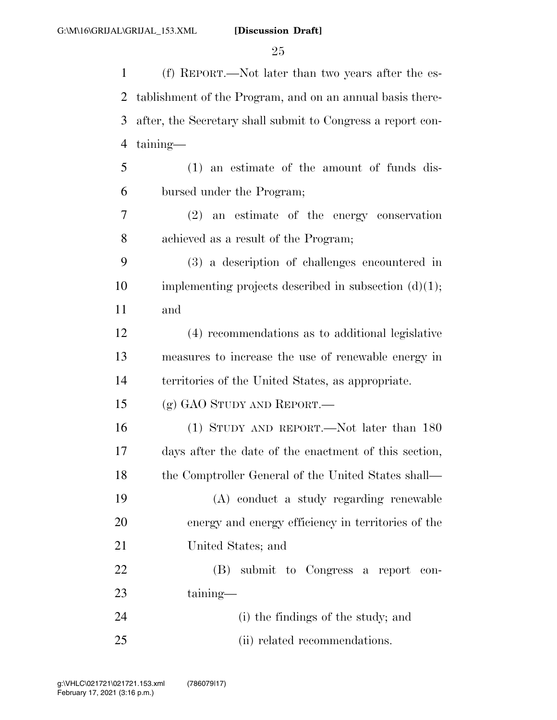(f) REPORT.—Not later than two years after the es- tablishment of the Program, and on an annual basis there- after, the Secretary shall submit to Congress a report con- taining— (1) an estimate of the amount of funds dis- bursed under the Program; (2) an estimate of the energy conservation achieved as a result of the Program; (3) a description of challenges encountered in 10 implementing projects described in subsection  $(d)(1)$ ; and (4) recommendations as to additional legislative measures to increase the use of renewable energy in territories of the United States, as appropriate. (g) GAO STUDY AND REPORT.— (1) STUDY AND REPORT.—Not later than 180 days after the date of the enactment of this section, 18 the Comptroller General of the United States shall— (A) conduct a study regarding renewable energy and energy efficiency in territories of the United States; and (B) submit to Congress a report con- taining— (i) the findings of the study; and (ii) related recommendations.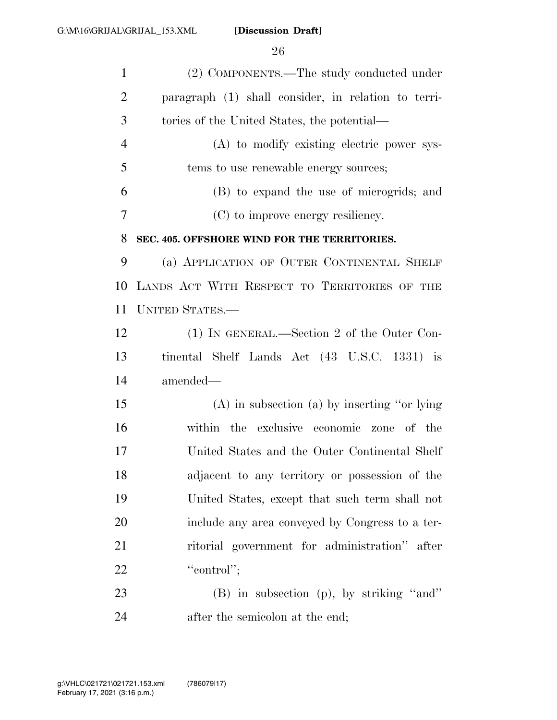| $\mathbf{1}$   | (2) COMPONENTS.—The study conducted under           |
|----------------|-----------------------------------------------------|
| $\overline{2}$ | paragraph (1) shall consider, in relation to terri- |
| 3              | tories of the United States, the potential—         |
| $\overline{4}$ | (A) to modify existing electric power sys-          |
| 5              | tems to use renewable energy sources;               |
| 6              | (B) to expand the use of microgrids; and            |
| 7              | (C) to improve energy resiliency.                   |
| 8              | SEC. 405. OFFSHORE WIND FOR THE TERRITORIES.        |
| 9              | (a) APPLICATION OF OUTER CONTINENTAL SHELF          |
| 10             | LANDS ACT WITH RESPECT TO TERRITORIES OF THE        |
| 11             | <b>UNITED STATES.—</b>                              |
| 12             | (1) IN GENERAL.—Section 2 of the Outer Con-         |
| 13             | tinental Shelf Lands Act (43 U.S.C. 1331) is        |
| 14             | amended—                                            |
| 15             | $(A)$ in subsection $(a)$ by inserting "or lying"   |
| 16             | within the exclusive economic zone of the           |
| 17             | United States and the Outer Continental Shelf       |
| 18             | adjacent to any territory or possession of the      |
| 19             | United States, except that such term shall not      |
| 20             | include any area conveyed by Congress to a ter-     |
| 21             | ritorial government for administration" after       |
| 22             | "control";                                          |
| 23             | $(B)$ in subsection $(p)$ , by striking "and"       |
| 24             | after the semicolon at the end;                     |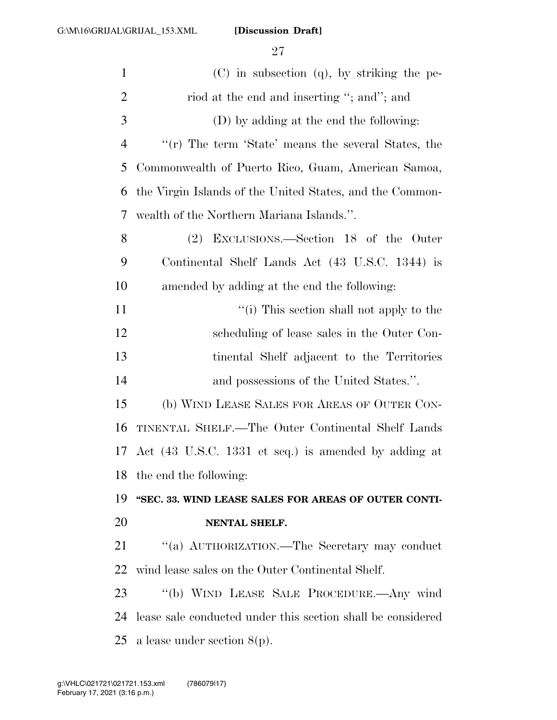| $\mathbf{1}$   | (C) in subsection (q), by striking the pe-                  |
|----------------|-------------------------------------------------------------|
| $\mathbf{2}$   | riod at the end and inserting "; and"; and                  |
| 3              | (D) by adding at the end the following:                     |
| $\overline{4}$ | " $(r)$ The term 'State' means the several States, the      |
| 5              | Commonwealth of Puerto Rico, Guam, American Samoa,          |
| 6              | the Virgin Islands of the United States, and the Common-    |
| 7              | wealth of the Northern Mariana Islands.".                   |
| 8              | EXCLUSIONS.—Section 18 of the Outer<br>(2)                  |
| 9              | Continental Shelf Lands Act (43 U.S.C. 1344) is             |
| 10             | amended by adding at the end the following:                 |
| 11             | "(i) This section shall not apply to the                    |
| 12             | scheduling of lease sales in the Outer Con-                 |
| 13             | tinental Shelf adjacent to the Territories                  |
| 14             | and possessions of the United States.".                     |
| 15             | (b) WIND LEASE SALES FOR AREAS OF OUTER CON-                |
| 16             | TINENTAL SHELF.—The Outer Continental Shelf Lands           |
| 17             | Act (43 U.S.C. 1331 et seq.) is amended by adding at        |
| 18             | the end the following:                                      |
| 19             | "SEC. 33. WIND LEASE SALES FOR AREAS OF OUTER CONTI-        |
| 20             | NENTAL SHELF.                                               |
| 21             | "(a) AUTHORIZATION.—The Secretary may conduct               |
| 22             | wind lease sales on the Outer Continental Shelf.            |
| 23             | "(b) WIND LEASE SALE PROCEDURE.—Any wind                    |
| 24             | lease sale conducted under this section shall be considered |
| 25             | a lease under section $8(p)$ .                              |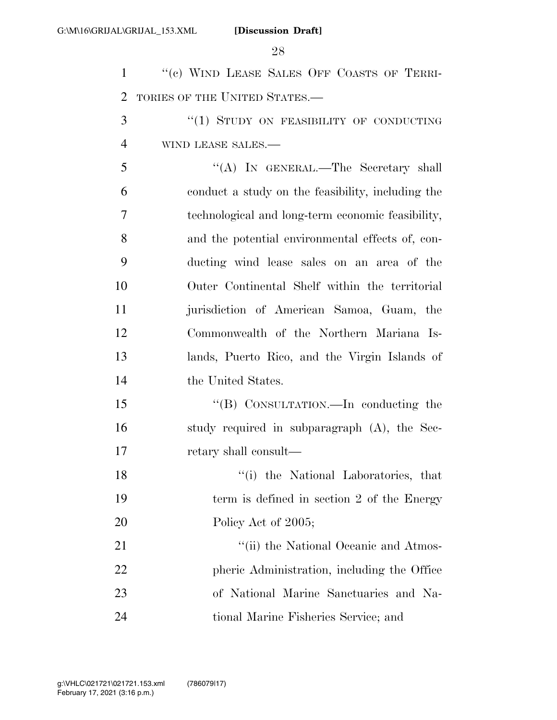1 "(c) WIND LEASE SALES OFF COASTS OF TERRI- TORIES OF THE UNITED STATES.— 3 "(1) STUDY ON FEASIBILITY OF CONDUCTING WIND LEASE SALES.— ''(A) IN GENERAL.—The Secretary shall conduct a study on the feasibility, including the technological and long-term economic feasibility, and the potential environmental effects of, con- ducting wind lease sales on an area of the Outer Continental Shelf within the territorial jurisdiction of American Samoa, Guam, the Commonwealth of the Northern Mariana Is- lands, Puerto Rico, and the Virgin Islands of the United States. 15 "(B) CONSULTATION.—In conducting the study required in subparagraph (A), the Sec- retary shall consult— ''(i) the National Laboratories, that term is defined in section 2 of the Energy 20 Policy Act of 2005; 21 ''(ii) the National Oceanic and Atmos-22 pheric Administration, including the Office of National Marine Sanctuaries and Na-tional Marine Fisheries Service; and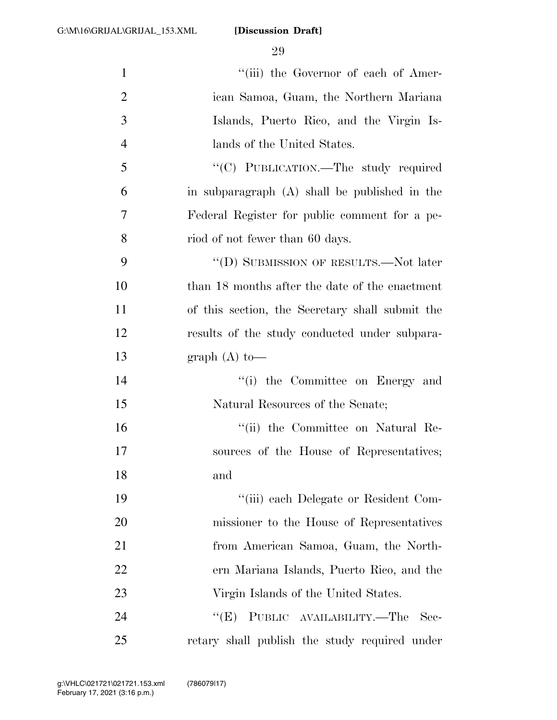| $\mathbf{1}$   | "(iii) the Governor of each of Amer-            |
|----------------|-------------------------------------------------|
| $\overline{2}$ | ican Samoa, Guam, the Northern Mariana          |
| 3              | Islands, Puerto Rico, and the Virgin Is-        |
| $\overline{4}$ | lands of the United States.                     |
| 5              | "(C) PUBLICATION.—The study required            |
| 6              | in subparagraph (A) shall be published in the   |
| 7              | Federal Register for public comment for a pe-   |
| 8              | riod of not fewer than 60 days.                 |
| 9              | "(D) SUBMISSION OF RESULTS.—Not later           |
| 10             | than 18 months after the date of the enactment  |
| 11             | of this section, the Secretary shall submit the |
| 12             | results of the study conducted under subpara-   |
| 13             | graph $(A)$ to —                                |
| 14             | "(i) the Committee on Energy and                |
| 15             | Natural Resources of the Senate;                |
| 16             | "(ii) the Committee on Natural Re-              |
| 17             | sources of the House of Representatives;        |
| 18             | and                                             |
| 19             | "(iii) each Delegate or Resident Com-           |
| 20             | missioner to the House of Representatives       |
| 21             | from American Samoa, Guam, the North-           |
| 22             | ern Mariana Islands, Puerto Rico, and the       |
| 23             | Virgin Islands of the United States.            |
| 24             | PUBLIC AVAILABILITY.—The<br>``(E)<br>- Sec-     |
| 25             | retary shall publish the study required under   |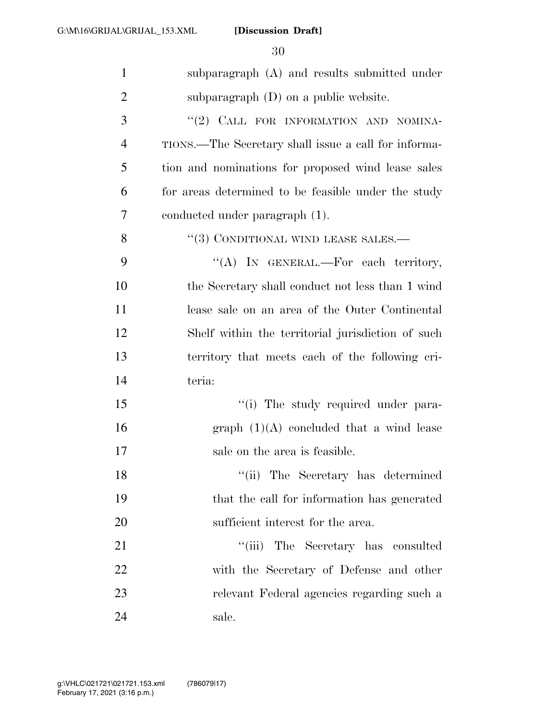| $\mathbf{1}$   | subparagraph (A) and results submitted under         |
|----------------|------------------------------------------------------|
| $\overline{2}$ | subparagraph $(D)$ on a public website.              |
| 3              | "(2) CALL FOR INFORMATION AND NOMINA-                |
| $\overline{4}$ | TIONS.—The Secretary shall issue a call for informa- |
| 5              | tion and nominations for proposed wind lease sales   |
| 6              | for areas determined to be feasible under the study  |
| 7              | conducted under paragraph (1).                       |
| 8              | "(3) CONDITIONAL WIND LEASE SALES.—                  |
| 9              | "(A) IN GENERAL.—For each territory,                 |
| 10             | the Secretary shall conduct not less than 1 wind     |
| 11             | lease sale on an area of the Outer Continental       |
| 12             | Shelf within the territorial jurisdiction of such    |
| 13             | territory that meets each of the following cri-      |
| 14             | teria:                                               |
| 15             | "(i) The study required under para-                  |
| 16             | graph $(1)(A)$ concluded that a wind lease           |
| 17             | sale on the area is feasible.                        |
| 18             | "(ii) The Secretary has determined                   |
| 19             | that the call for information has generated          |
| 20             | sufficient interest for the area.                    |
| 21             | "(iii) The Secretary has consulted                   |
| 22             | with the Secretary of Defense and other              |
| 23             | relevant Federal agencies regarding such a           |
| 24             | sale.                                                |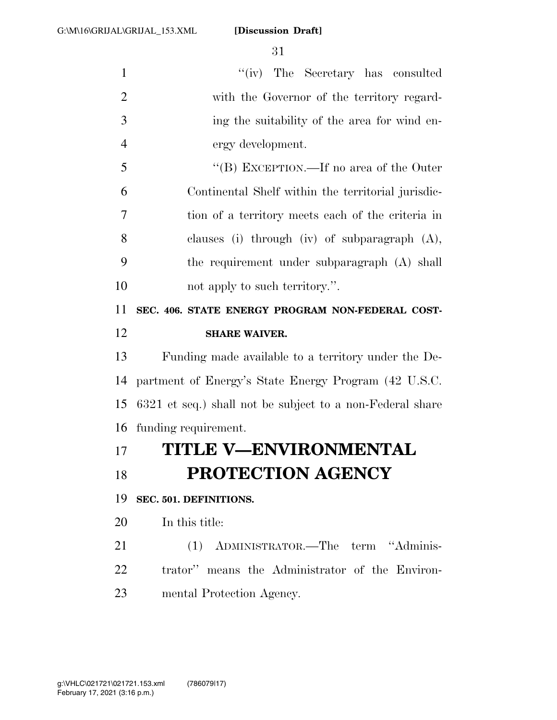1 ''(iv) The Secretary has consulted with the Governor of the territory regard- ing the suitability of the area for wind en- ergy development. ''(B) EXCEPTION.—If no area of the Outer Continental Shelf within the territorial jurisdic- tion of a territory meets each of the criteria in clauses (i) through (iv) of subparagraph (A), the requirement under subparagraph (A) shall 10 not apply to such territory.". **SEC. 406. STATE ENERGY PROGRAM NON-FEDERAL COST- SHARE WAIVER.**  Funding made available to a territory under the De- partment of Energy's State Energy Program (42 U.S.C. 6321 et seq.) shall not be subject to a non-Federal share funding requirement. **TITLE V—ENVIRONMENTAL PROTECTION AGENCY SEC. 501. DEFINITIONS.**  In this title: (1) ADMINISTRATOR.—The term ''Adminis- trator'' means the Administrator of the Environ-mental Protection Agency.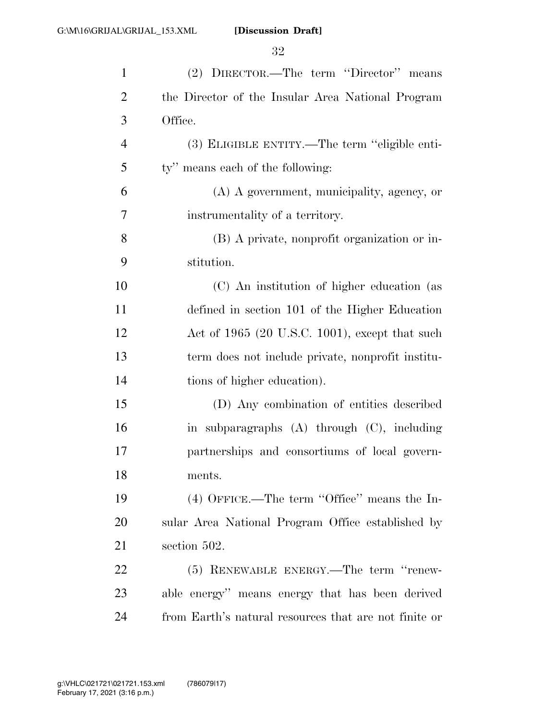| $\mathbf{1}$   | (2) DIRECTOR.—The term "Director" means               |
|----------------|-------------------------------------------------------|
| $\overline{2}$ | the Director of the Insular Area National Program     |
| 3              | Office.                                               |
| 4              | (3) ELIGIBLE ENTITY.—The term "eligible enti-         |
| 5              | ty" means each of the following:                      |
| 6              | (A) A government, municipality, agency, or            |
| 7              | instrumentality of a territory.                       |
| 8              | (B) A private, nonprofit organization or in-          |
| 9              | stitution.                                            |
| 10             | (C) An institution of higher education (as            |
| 11             | defined in section 101 of the Higher Education        |
| 12             | Act of $1965$ (20 U.S.C. 1001), except that such      |
| 13             | term does not include private, nonprofit institu-     |
| 14             | tions of higher education).                           |
| 15             | (D) Any combination of entities described             |
| 16             | in subparagraphs (A) through (C), including           |
| 17             | partnerships and consortiums of local govern-         |
| 18             | ments.                                                |
| 19             | $(4)$ OFFICE.—The term "Office" means the In-         |
| 20             | sular Area National Program Office established by     |
| 21             | section 502.                                          |
| 22             | (5) RENEWABLE ENERGY.—The term "renew-                |
| 23             | able energy" means energy that has been derived       |
| 24             | from Earth's natural resources that are not finite or |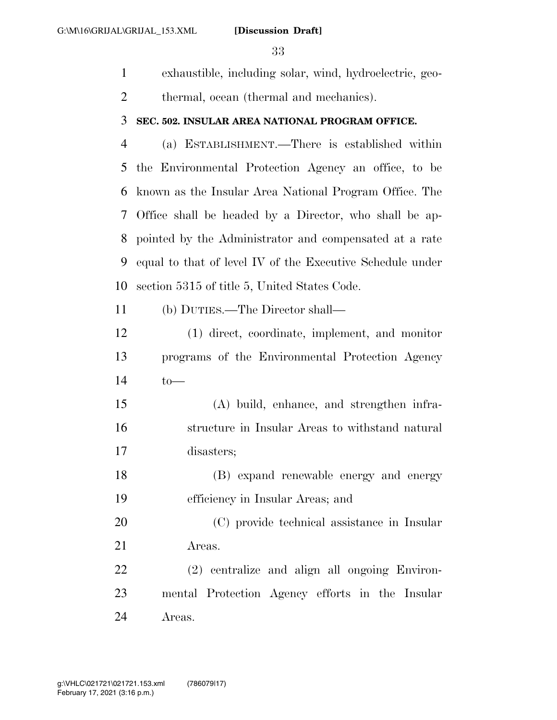exhaustible, including solar, wind, hydroelectric, geo-

thermal, ocean (thermal and mechanics).

#### **SEC. 502. INSULAR AREA NATIONAL PROGRAM OFFICE.**

 (a) ESTABLISHMENT.—There is established within the Environmental Protection Agency an office, to be known as the Insular Area National Program Office. The Office shall be headed by a Director, who shall be ap- pointed by the Administrator and compensated at a rate equal to that of level IV of the Executive Schedule under section 5315 of title 5, United States Code.

(b) DUTIES.—The Director shall—

 (1) direct, coordinate, implement, and monitor programs of the Environmental Protection Agency to—

 (A) build, enhance, and strengthen infra- structure in Insular Areas to withstand natural disasters;

 (B) expand renewable energy and energy efficiency in Insular Areas; and

 (C) provide technical assistance in Insular Areas.

 (2) centralize and align all ongoing Environ- mental Protection Agency efforts in the Insular Areas.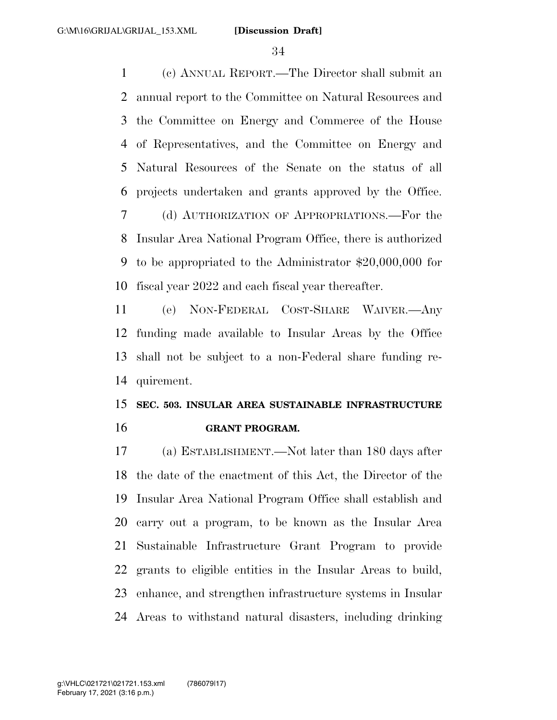(c) ANNUAL REPORT.—The Director shall submit an annual report to the Committee on Natural Resources and the Committee on Energy and Commerce of the House of Representatives, and the Committee on Energy and Natural Resources of the Senate on the status of all projects undertaken and grants approved by the Office. (d) AUTHORIZATION OF APPROPRIATIONS.—For the Insular Area National Program Office, there is authorized to be appropriated to the Administrator \$20,000,000 for fiscal year 2022 and each fiscal year thereafter.

 (e) NON-FEDERAL COST-SHARE WAIVER.—Any funding made available to Insular Areas by the Office shall not be subject to a non-Federal share funding re-quirement.

## **SEC. 503. INSULAR AREA SUSTAINABLE INFRASTRUCTURE GRANT PROGRAM.**

 (a) ESTABLISHMENT.—Not later than 180 days after the date of the enactment of this Act, the Director of the Insular Area National Program Office shall establish and carry out a program, to be known as the Insular Area Sustainable Infrastructure Grant Program to provide grants to eligible entities in the Insular Areas to build, enhance, and strengthen infrastructure systems in Insular Areas to withstand natural disasters, including drinking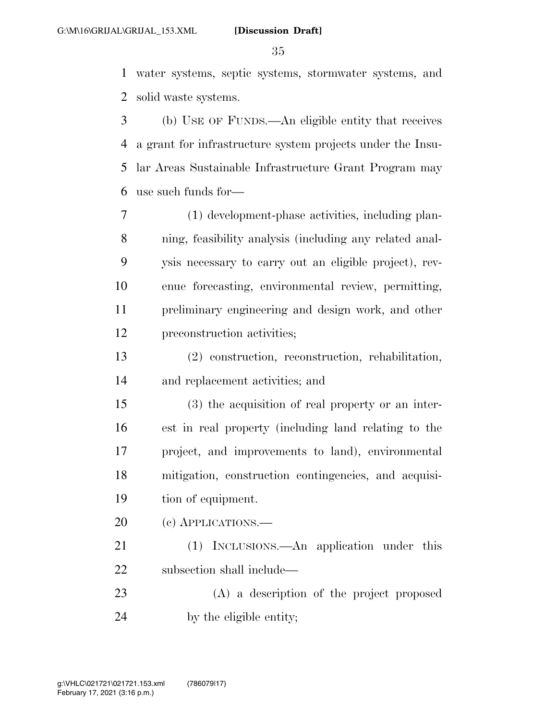water systems, septic systems, stormwater systems, and solid waste systems.

 (b) USE OF FUNDS.—An eligible entity that receives a grant for infrastructure system projects under the Insu- lar Areas Sustainable Infrastructure Grant Program may use such funds for—

 (1) development-phase activities, including plan- ning, feasibility analysis (including any related anal- ysis necessary to carry out an eligible project), rev- enue forecasting, environmental review, permitting, preliminary engineering and design work, and other preconstruction activities;

 (2) construction, reconstruction, rehabilitation, and replacement activities; and

 (3) the acquisition of real property or an inter- est in real property (including land relating to the project, and improvements to land), environmental mitigation, construction contingencies, and acquisi-tion of equipment.

20 (c) APPLICATIONS.—

 (1) INCLUSIONS.—An application under this subsection shall include—

 (A) a description of the project proposed by the eligible entity;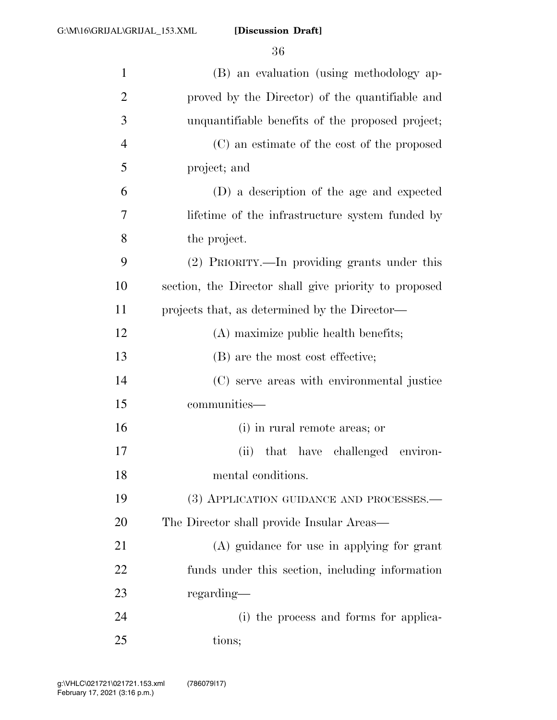| $\mathbf{1}$   | (B) an evaluation (using methodology ap-              |
|----------------|-------------------------------------------------------|
| $\overline{2}$ | proved by the Director) of the quantifiable and       |
| 3              | unquantifiable benefits of the proposed project;      |
| $\overline{4}$ | (C) an estimate of the cost of the proposed           |
| 5              | project; and                                          |
| 6              | (D) a description of the age and expected             |
| 7              | lifetime of the infrastructure system funded by       |
| 8              | the project.                                          |
| 9              | (2) PRIORITY.—In providing grants under this          |
| 10             | section, the Director shall give priority to proposed |
| 11             | projects that, as determined by the Director—         |
| 12             | (A) maximize public health benefits;                  |
| 13             | (B) are the most cost effective;                      |
| 14             | (C) serve areas with environmental justice            |
| 15             | communities—                                          |
| 16             | (i) in rural remote areas; or                         |
| 17             | (ii) that have challenged environ-                    |
| 18             | mental conditions.                                    |
| 19             | (3) APPLICATION GUIDANCE AND PROCESSES.-              |
| 20             | The Director shall provide Insular Areas—             |
| 21             | (A) guidance for use in applying for grant            |
| 22             | funds under this section, including information       |
| 23             | regarding-                                            |
| 24             | (i) the process and forms for applica-                |
| 25             | tions;                                                |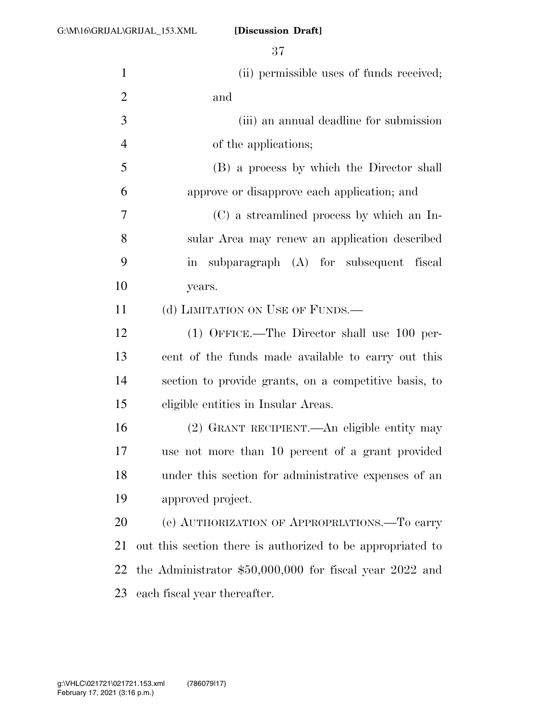| $\mathbf{1}$   | (ii) permissible uses of funds received;                   |
|----------------|------------------------------------------------------------|
| $\mathbf{2}$   | and                                                        |
| $\mathfrak{Z}$ | (iii) an annual deadline for submission                    |
| $\overline{4}$ | of the applications;                                       |
| 5              | (B) a process by which the Director shall                  |
| 6              | approve or disapprove each application; and                |
| $\overline{7}$ | (C) a streamlined process by which an In-                  |
| 8              | sular Area may renew an application described              |
| 9              | in subparagraph (A) for subsequent fiscal                  |
| 10             | years.                                                     |
| 11             | (d) LIMITATION ON USE OF FUNDS.—                           |
| 12             | $(1)$ OFFICE.—The Director shall use 100 per-              |
| 13             | cent of the funds made available to carry out this         |
| 14             | section to provide grants, on a competitive basis, to      |
| 15             | eligible entities in Insular Areas.                        |
| 16             | (2) GRANT RECIPIENT.—An eligible entity may                |
| 17             | use not more than 10 percent of a grant provided           |
| 18             | under this section for administrative expenses of an       |
| 19             | approved project.                                          |
| 20             | (e) AUTHORIZATION OF APPROPRIATIONS. To carry              |
| 21             | out this section there is authorized to be appropriated to |
| 22             | the Administrator $$50,000,000$ for fiscal year 2022 and   |
| 23             | each fiscal year thereafter.                               |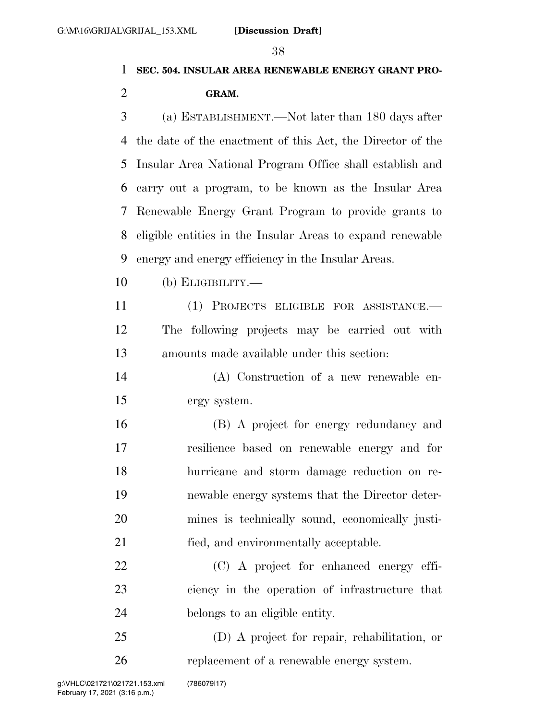# **SEC. 504. INSULAR AREA RENEWABLE ENERGY GRANT PRO-**

### **GRAM.**

 (a) ESTABLISHMENT.—Not later than 180 days after the date of the enactment of this Act, the Director of the Insular Area National Program Office shall establish and carry out a program, to be known as the Insular Area Renewable Energy Grant Program to provide grants to eligible entities in the Insular Areas to expand renewable energy and energy efficiency in the Insular Areas.

(b) ELIGIBILITY.—

 (1) PROJECTS ELIGIBLE FOR ASSISTANCE.— The following projects may be carried out with amounts made available under this section:

 (A) Construction of a new renewable en-ergy system.

 (B) A project for energy redundancy and resilience based on renewable energy and for hurricane and storm damage reduction on re- newable energy systems that the Director deter- mines is technically sound, economically justi-fied, and environmentally acceptable.

 (C) A project for enhanced energy effi- ciency in the operation of infrastructure that belongs to an eligible entity.

 (D) A project for repair, rehabilitation, or replacement of a renewable energy system.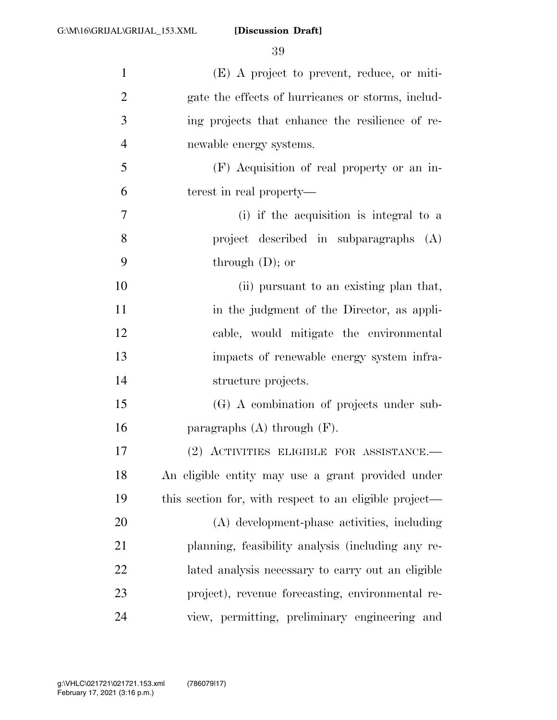| $\mathbf{1}$   | $(E)$ A project to prevent, reduce, or miti-           |
|----------------|--------------------------------------------------------|
| $\mathfrak{2}$ | gate the effects of hurricanes or storms, includ-      |
| 3              | ing projects that enhance the resilience of re-        |
| $\overline{4}$ | newable energy systems.                                |
| 5              | (F) Acquisition of real property or an in-             |
| 6              | terest in real property—                               |
| $\tau$         | (i) if the acquisition is integral to a                |
| 8              | project described in subparagraphs (A)                 |
| 9              | through $(D)$ ; or                                     |
| 10             | (ii) pursuant to an existing plan that,                |
| 11             | in the judgment of the Director, as appli-             |
| 12             | cable, would mitigate the environmental                |
| 13             | impacts of renewable energy system infra-              |
| 14             | structure projects.                                    |
| 15             | (G) A combination of projects under sub-               |
| 16             | paragraphs $(A)$ through $(F)$ .                       |
| 17             | (2) ACTIVITIES ELIGIBLE FOR ASSISTANCE.—               |
| 18             | An eligible entity may use a grant provided under      |
| 19             | this section for, with respect to an eligible project— |
| 20             | (A) development-phase activities, including            |
| 21             | planning, feasibility analysis (including any re-      |
| 22             | lated analysis necessary to carry out an eligible      |
| 23             | project), revenue forecasting, environmental re-       |
| 24             | view, permitting, preliminary engineering and          |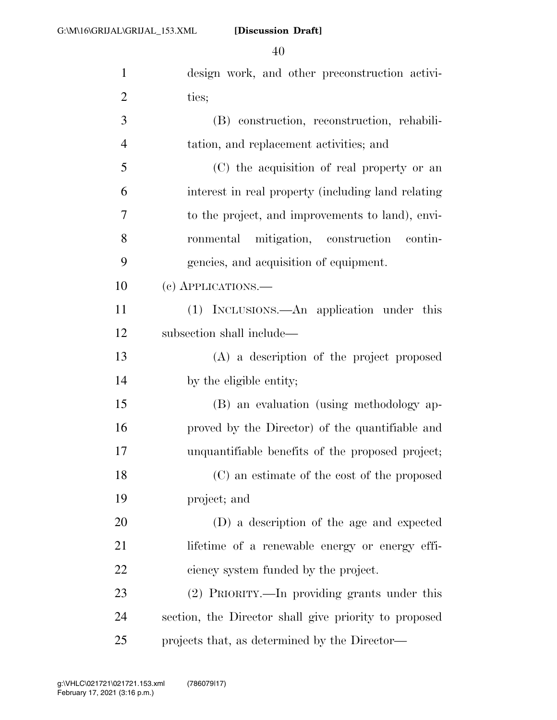| $\mathbf{1}$   | design work, and other preconstruction activi-        |
|----------------|-------------------------------------------------------|
| $\overline{2}$ | ties;                                                 |
| 3              | (B) construction, reconstruction, rehabili-           |
| $\overline{4}$ | tation, and replacement activities; and               |
| 5              | (C) the acquisition of real property or an            |
| 6              | interest in real property (including land relating    |
| $\overline{7}$ | to the project, and improvements to land), envi-      |
| 8              | ronmental mitigation, construction contin-            |
| 9              | gencies, and acquisition of equipment.                |
| 10             | (c) APPLICATIONS.—                                    |
| 11             | (1) INCLUSIONS.—An application under this             |
| 12             | subsection shall include—                             |
| 13             | (A) a description of the project proposed             |
| 14             | by the eligible entity;                               |
| 15             | (B) an evaluation (using methodology ap-              |
| 16             | proved by the Director) of the quantifiable and       |
| 17             | unquantifiable benefits of the proposed project;      |
| 18             | (C) an estimate of the cost of the proposed           |
| 19             | project; and                                          |
| 20             | (D) a description of the age and expected             |
| 21             | lifetime of a renewable energy or energy effi-        |
| 22             | ciency system funded by the project.                  |
| 23             | (2) PRIORITY.—In providing grants under this          |
| 24             | section, the Director shall give priority to proposed |
| 25             | projects that, as determined by the Director—         |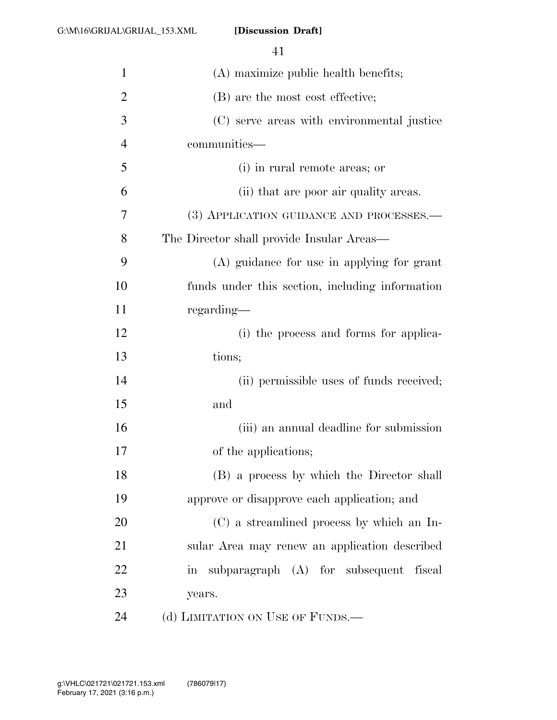| $\mathbf{1}$   | (A) maximize public health benefits;            |
|----------------|-------------------------------------------------|
| $\overline{2}$ | (B) are the most cost effective;                |
| 3              | (C) serve areas with environmental justice      |
| $\overline{4}$ | communities—                                    |
| 5              | (i) in rural remote areas; or                   |
| 6              | (ii) that are poor air quality areas.           |
| 7              | (3) APPLICATION GUIDANCE AND PROCESSES.-        |
| 8              | The Director shall provide Insular Areas—       |
| 9              | (A) guidance for use in applying for grant      |
| 10             | funds under this section, including information |
| 11             | regarding—                                      |
| 12             | (i) the process and forms for applica-          |
| 13             | tions;                                          |
| 14             | (ii) permissible uses of funds received;        |
| 15             | and                                             |
| 16             | (iii) an annual deadline for submission         |
| 17             | of the applications;                            |
| 18             | (B) a process by which the Director shall       |
| 19             | approve or disapprove each application; and     |
| 20             | (C) a streamlined process by which an In-       |
| 21             | sular Area may renew an application described   |
| 22             | subparagraph (A) for subsequent fiscal<br>in    |
| 23             | years.                                          |
| 24             | (d) LIMITATION ON USE OF FUNDS.—                |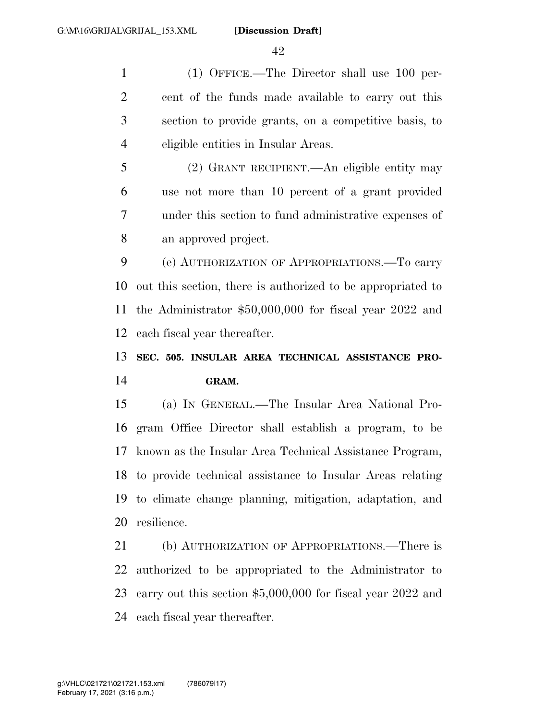(1) OFFICE.—The Director shall use 100 per- cent of the funds made available to carry out this section to provide grants, on a competitive basis, to eligible entities in Insular Areas.

 (2) GRANT RECIPIENT.—An eligible entity may use not more than 10 percent of a grant provided under this section to fund administrative expenses of an approved project.

 (e) AUTHORIZATION OF APPROPRIATIONS.—To carry out this section, there is authorized to be appropriated to the Administrator \$50,000,000 for fiscal year 2022 and each fiscal year thereafter.

## **SEC. 505. INSULAR AREA TECHNICAL ASSISTANCE PRO-GRAM.**

 (a) IN GENERAL.—The Insular Area National Pro- gram Office Director shall establish a program, to be known as the Insular Area Technical Assistance Program, to provide technical assistance to Insular Areas relating to climate change planning, mitigation, adaptation, and resilience.

 (b) AUTHORIZATION OF APPROPRIATIONS.—There is authorized to be appropriated to the Administrator to carry out this section \$5,000,000 for fiscal year 2022 and each fiscal year thereafter.